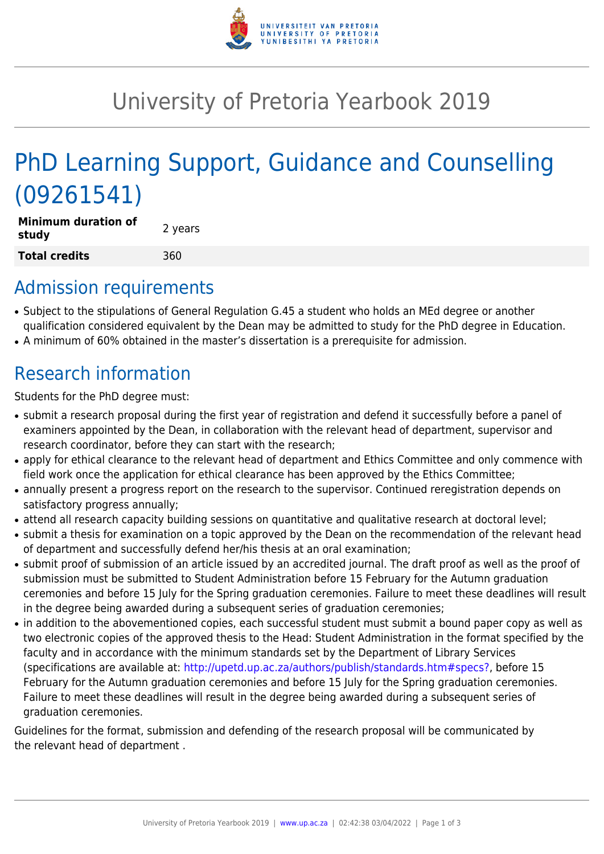

## University of Pretoria Yearbook 2019

# PhD Learning Support, Guidance and Counselling (09261541)

| Minimum duration of<br>study | 2 years |
|------------------------------|---------|
| Total credits                | 360     |

### Admission requirements

- Subject to the stipulations of General Regulation G.45 a student who holds an MEd degree or another qualification considered equivalent by the Dean may be admitted to study for the PhD degree in Education.
- A minimum of 60% obtained in the master's dissertation is a prerequisite for admission.

## Research information

Students for the PhD degree must:

- submit a research proposal during the first year of registration and defend it successfully before a panel of examiners appointed by the Dean, in collaboration with the relevant head of department, supervisor and research coordinator, before they can start with the research;
- apply for ethical clearance to the relevant head of department and Ethics Committee and only commence with field work once the application for ethical clearance has been approved by the Ethics Committee;
- annually present a progress report on the research to the supervisor. Continued reregistration depends on satisfactory progress annually;
- attend all research capacity building sessions on quantitative and qualitative research at doctoral level;
- submit a thesis for examination on a topic approved by the Dean on the recommendation of the relevant head of department and successfully defend her/his thesis at an oral examination;
- submit proof of submission of an article issued by an accredited journal. The draft proof as well as the proof of submission must be submitted to Student Administration before 15 February for the Autumn graduation ceremonies and before 15 July for the Spring graduation ceremonies. Failure to meet these deadlines will result in the degree being awarded during a subsequent series of graduation ceremonies;
- in addition to the abovementioned copies, each successful student must submit a bound paper copy as well as two electronic copies of the approved thesis to the Head: Student Administration in the format specified by the faculty and in accordance with the minimum standards set by the Department of Library Services (specifications are available at: [http://upetd.up.ac.za/authors/publish/standards.htm#specs?,](http://upetd.up.ac.za/authors/publish/standards.htm#specs) before 15 February for the Autumn graduation ceremonies and before 15 July for the Spring graduation ceremonies. Failure to meet these deadlines will result in the degree being awarded during a subsequent series of graduation ceremonies.

Guidelines for the format, submission and defending of the research proposal will be communicated by the relevant head of department .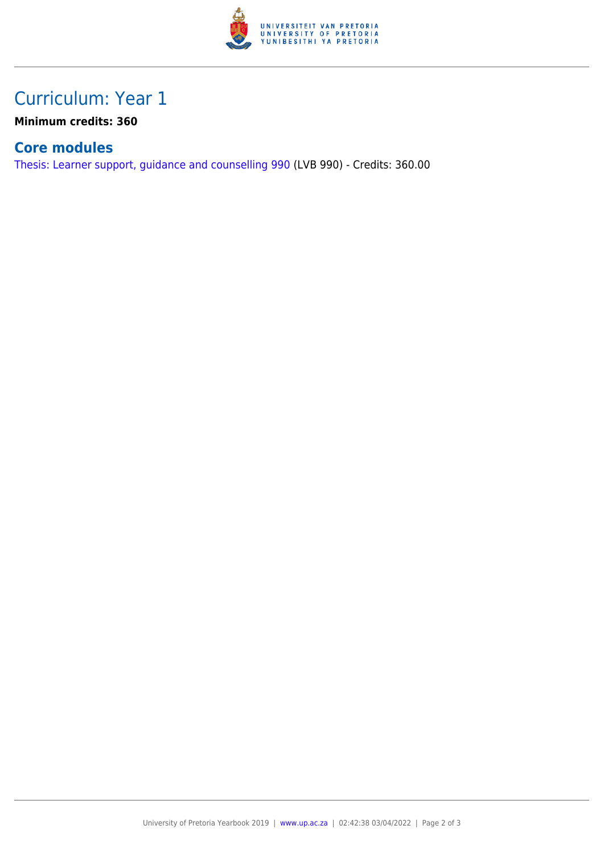

### Curriculum: Year 1

**Minimum credits: 360**

#### **Core modules**

[Thesis: Learner support, guidance and counselling 990](https://www.up.ac.za/faculty-of-education/yearbooks/2019/modules/view/LVB 990) (LVB 990) - Credits: 360.00